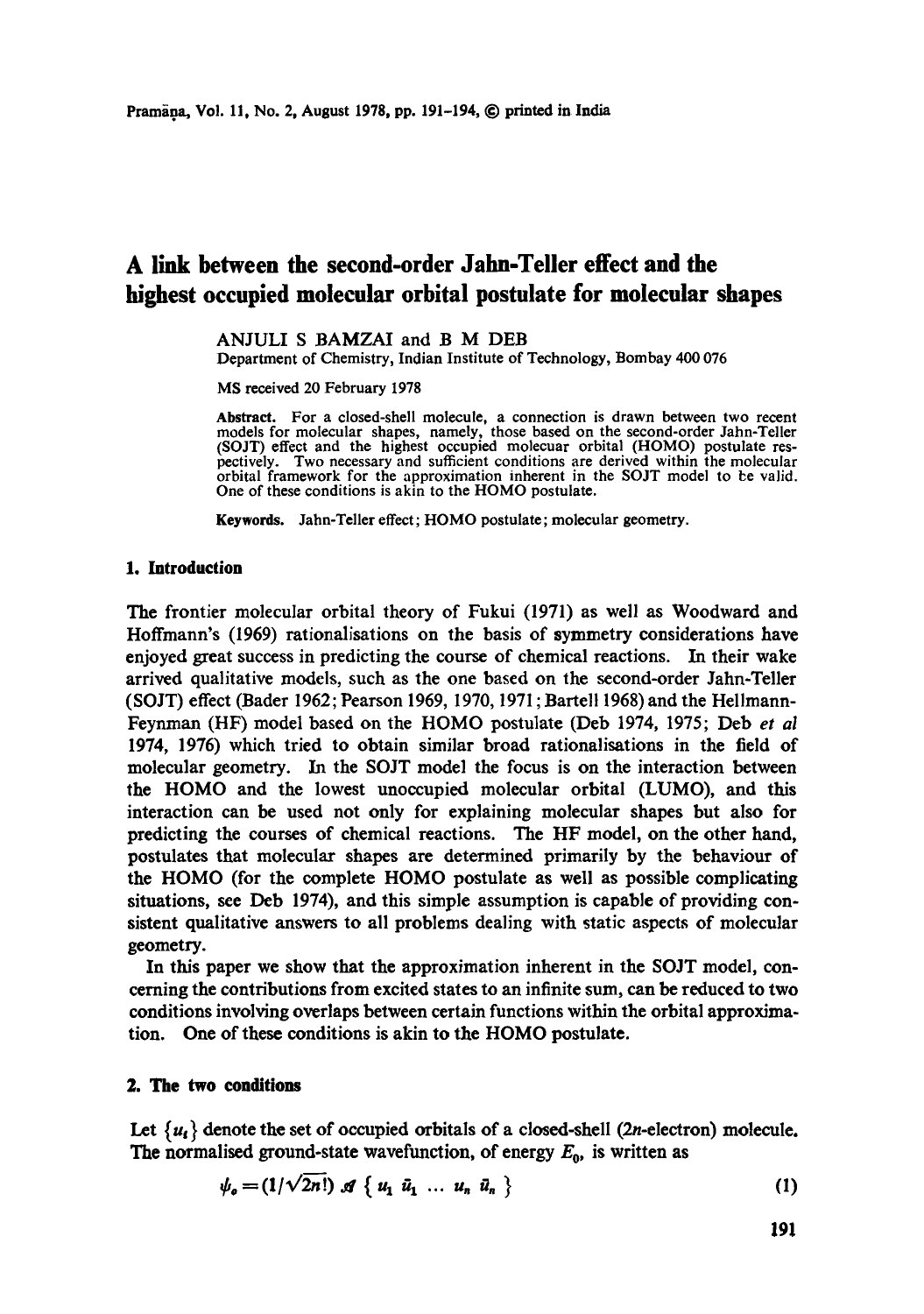# **A link between the second-order Jahn-Teller effect and the highest occupied molecular orbital postulate for molecular shapes**

#### ANJULI S BAMZAI and B M DEB

Department of Chemistry, Indian Institute of Technology, Bombay 400 076

MS received 20 February 1978

Abstract. For a closed-shell molecule, a connection is drawn between two recent models for molecular shapes, namely, those based on the second-order Jahn-Teller (SOJT) effect and the highest occupied molecuar orbital (HOMO) postulate res-pectively. Two necessary and sufficient conditions are derived within the molecular orbital framework for the approximation inherent in the SOJT model to be valid. One of these conditions is akin to the HOMO postulate.

Keywords. Jahn-Teller effect; HOMO postulate; molecular geometry.

#### **1. Introduction**

The frontier molecular orbital theory of Fukui (1971) as well as Woodward and Hoffmann's (1969) rationalisations on the basis of symmetry considerations have enjoyed great success in predicting the course of chemical reactions. In their wake arrived qualitative models, such as the one based on the second-order Jahn-Teller (SOJT) effect (Bader 1962; Pearson 1969, 1970, 1971 ; Bartel11968) and the Hellmann-Feynman (HF) model based on the HOMO postulate (Deb 1974, 1975; Deb *et al*  1974, 1976) which tried to obtain similar broad ratioualisations in the field of molecular geometry. In the SOJT model the focus is on the interaction between the HOMO and the lowest unoccupied molecular orbital (LUMO), and this interaction can be used not only for explaining molecular shapes but also for predicting the courses of chemical reactions. The HF model, on the other hand, postulates that molecular shapes are determined primarily by the behaviour of the HOMO (for the complete HOMO postulate as well as possible complicating situations, see Deb 1974), and this simple assumption is capable of providing consistent qualitative answers to all problems dealing with static aspects of molecular geometry.

In this paper we show that the approximation inherent in the SOJT model, concerning the contributions from excited states to an infinite sum, can be reduced to two conditions involving overlaps between certain functions within the orbital approximation. One of these conditions is akin to the HOMO postulate.

#### **2. The two conditions**

Let  $\{u_i\}$  denote the set of occupied orbitals of a closed-shell (2n-electron) molecule. The normalised ground-state wavefunction, of energy  $E_0$ , is written as

$$
\psi_o = (1/\sqrt{2n!}) \mathcal{A} \{ u_1 \bar{u}_1 \dots u_n \bar{u}_n \}
$$
 (1)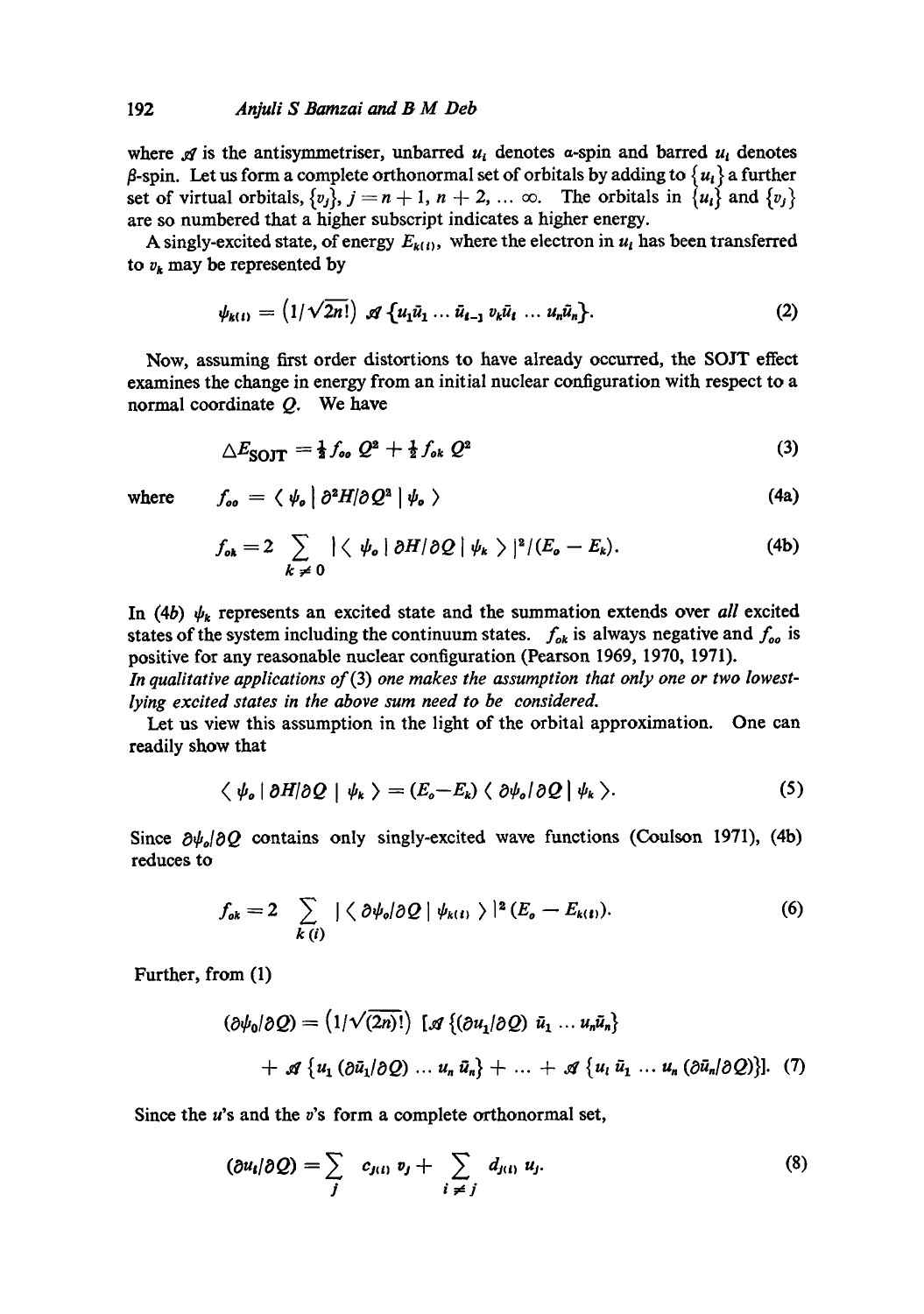$f_{\perp} = \langle \psi_{\perp} | \partial^2 H | \partial Q^2 | \psi_{\perp} \rangle$ 

where  $\mathcal A$  is the antisymmetriser, unbarred  $u_i$  denotes  $\alpha$ -spin and barred  $u_i$  denotes  $\beta$ -spin. Let us form a complete orthonormal set of orbitals by adding to  $\{u_i\}$  a further set of virtual orbitals,  $\{v_j\}$ ,  $j = n + 1$ ,  $n + 2$ , ...  $\infty$ . The orbitals in  $\{u_i\}$  and  $\{v_j\}$ are so numbered that a higher subscript indicates a higher energy.

A singly-excited state, of energy  $E_{k(t)}$ , where the electron in  $u_t$  has been transferred to  $v_k$  may be represented by

$$
\psi_{k(t)} = (1/\sqrt{2n!}) \mathcal{A} \{ u_1 \bar{u}_1 \dots \bar{u}_{t-1} v_k \bar{u}_t \dots u_n \bar{u}_n \}. \tag{2}
$$

Now, assuming first order distortions to have already occurred, the SOJT effect examines the change in energy from an initial nuclear configuration with respect to a normal coordinate  $Q$ . We have

$$
\triangle E_{\text{SOT}} = \frac{1}{2} f_{oo} Q^2 + \frac{1}{2} f_{ok} Q^2 \tag{3}
$$

**(4a)** 

where

$$
\begin{array}{c}\n\hline\n\end{array}
$$

$$
f_{\mathfrak{o}\mathbf{k}} = 2 \sum_{k \neq 0} |\langle \psi_{\mathfrak{o}} | \partial H | \partial Q | \psi_{\mathfrak{k}} \rangle |^{2} / (E_{\mathfrak{o}} - E_{\mathfrak{k}}). \tag{4b}
$$

In (4b)  $\psi_k$  represents an excited state and the summation extends over *all* excited states of the system including the continuum states.  $f_{ok}$  is always negative and  $f_{oo}$  is positive for any reasonable nuclear configuration (Pearson 1969, 1970, 1971).

*In qualitative applications* of(3) *one makes the assumption that only one or two lowestlying excited states in the above sum need to be considered.* 

Let us view this assumption in the light of the orbital approximation. One can readily show that

$$
\langle \psi_{o} | \partial H | \partial Q | \psi_{k} \rangle = (E_{o} - E_{k}) \langle \partial \psi_{o} | \partial Q | \psi_{k} \rangle. \tag{5}
$$

Since  $\partial \psi_a/\partial Q$  contains only singly-excited wave functions (Coulson 1971), (4b) reduces to

$$
f_{ok} = 2 \sum_{k(i)} |\langle \partial \psi_o | \partial Q | \psi_{k(i)} \rangle|^2 (E_o - E_{k(i)}).
$$
 (6)

Further, from (1)

$$
(\partial \psi_0/\partial Q) = (1/\sqrt{(2n)!}) [\mathcal{A} \{ (\partial u_1/\partial Q) \bar{u}_1 \dots u_n \bar{u}_n \}]
$$
  
+  $\mathcal{A} \{ u_1 (\partial \bar{u}_1/\partial Q) \dots u_n \bar{u}_n \} + \dots + \mathcal{A} \{ u_i \bar{u}_1 \dots u_n (\partial \bar{u}_n/\partial Q) \}].$  (7)

Since the  $u$ 's and the  $v$ 's form a complete orthonormal set,

$$
(\partial u_i/\partial Q) = \sum_j c_{j(i)} v_j + \sum_{i \neq j} d_{j(i)} u_j. \tag{8}
$$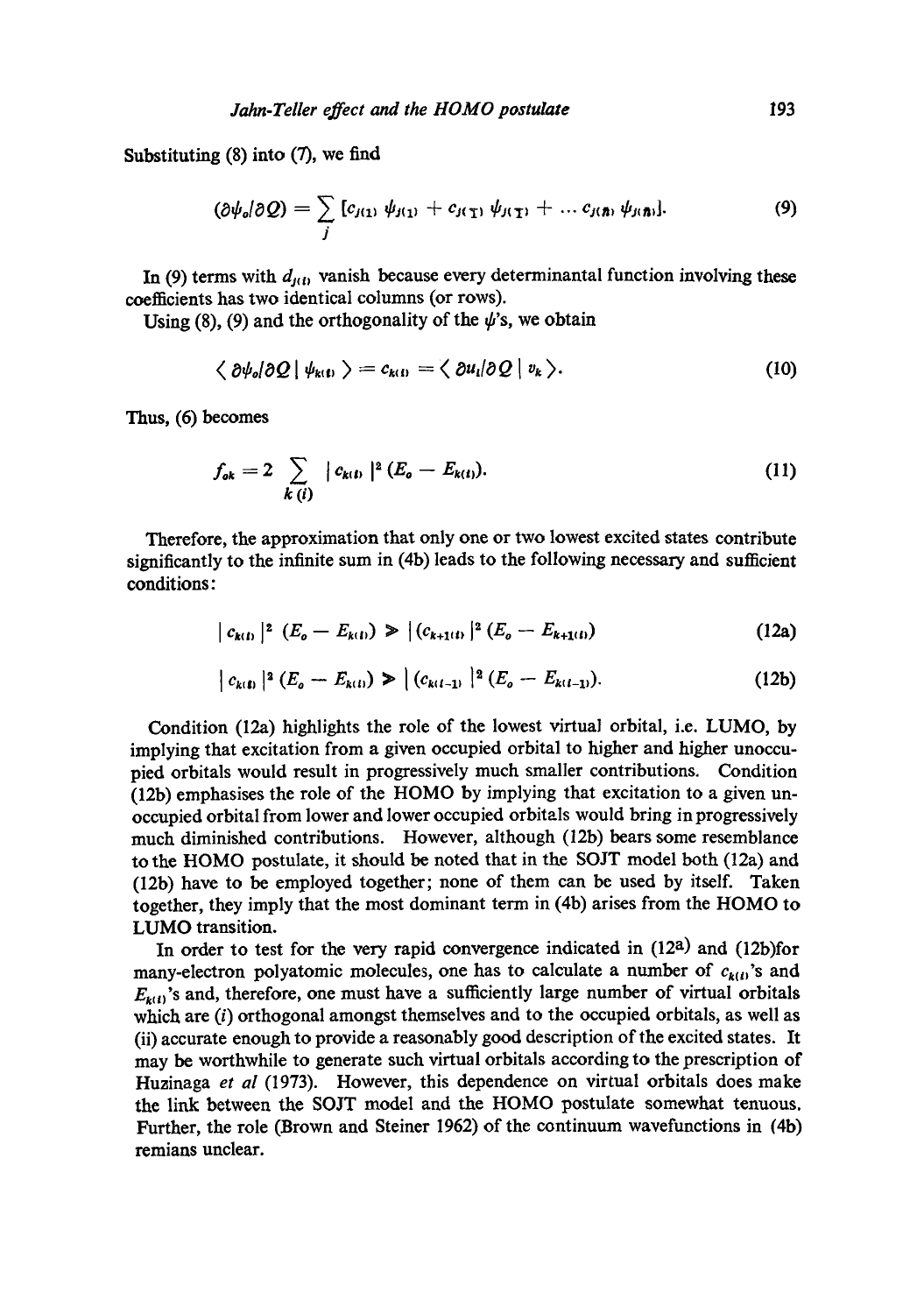Substituting  $(8)$  into  $(7)$ , we find

$$
(\partial \psi_o/\partial Q) = \sum_j \left[ c_{j(1)} \psi_{j(1)} + c_{j(1)} \psi_{j(1)} + \dots c_{j(n)} \psi_{j(n)} \right]. \tag{9}
$$

In (9) terms with  $d_{i(t)}$  vanish because every determinantal function involving these coefficients has two identical columns (or rows).

Using (8), (9) and the orthogonality of the  $\psi$ 's, we obtain

$$
\langle \partial \psi_o | \partial Q | \psi_{k(1)} \rangle = c_{k(1)} = \langle \partial u_i | \partial Q | v_k \rangle. \tag{10}
$$

Thus, (6) becomes

$$
f_{ok} = 2 \sum_{k(i)} |c_{k(i)}|^2 (E_o - E_{k(i)}).
$$
 (11)

Therefore, the approximation that only one or two lowest excited states contribute significantly to the infinite sum in (4b) leads to the following necessary and sufficient conditions:

$$
|c_{k(t)}|^2 (E_o - E_{k(t)}) \ge |(c_{k+1(t)}|^2 (E_o - E_{k+1(t)}) \tag{12a}
$$

$$
\Big| c_{k(1)} \Big|^2 \left( E_o - E_{k(1)} \right) \geq \Big| \left( c_{k(l-1)} \Big|^2 \left( E_o - E_{k(l-1)} \right) \right). \tag{12b}
$$

Condition (12a) highlights the role of the lowest virtual orbital, i.e. LUMO, by implying that excitation from a given occupied orbital to higher and higher unoccupied orbitals would result in progressively much smaller contributions. Condition (12b) emphasises the role of the HOMO by implying that excitation to a given unoccupied orbital from lower and lower occupied orbitals would bring in progressively much diminished contributions. However, although (12b) bears some resemblance to the HOMO postulate, it should be noted that in the SOJT model both (12a) and (12b) have to be employed together; none of them can be used by itself. Taken together, they imply that the most dominant term in (4b) arises from the HOMO to LUMO transition.

In order to test for the very rapid convergence indicated in  $(12a)$  and  $(12b)$ for many-electron polyatomic molecules, one has to calculate a number of  $c_{k(i)}$ 's and  $E_{k(i)}$ 's and, therefore, one must have a sufficiently large number of virtual orbitals which are (i) orthogonal amongst themselves and to the occupied orbitals, as well as (ii) accurate enough to provide a reasonably good description of the excited states. It may be worthwhile to generate such virtual orbitals according to the prescription of Huzinaga *et al* (1973). However, this dependence on virtual orbitals does make the link between the SOJT model and the HOMO postulate somewhat tenuous. Further, the role (Brown and Steiner 1962) of the continuum wavefunctions in (4b) remians unclear.